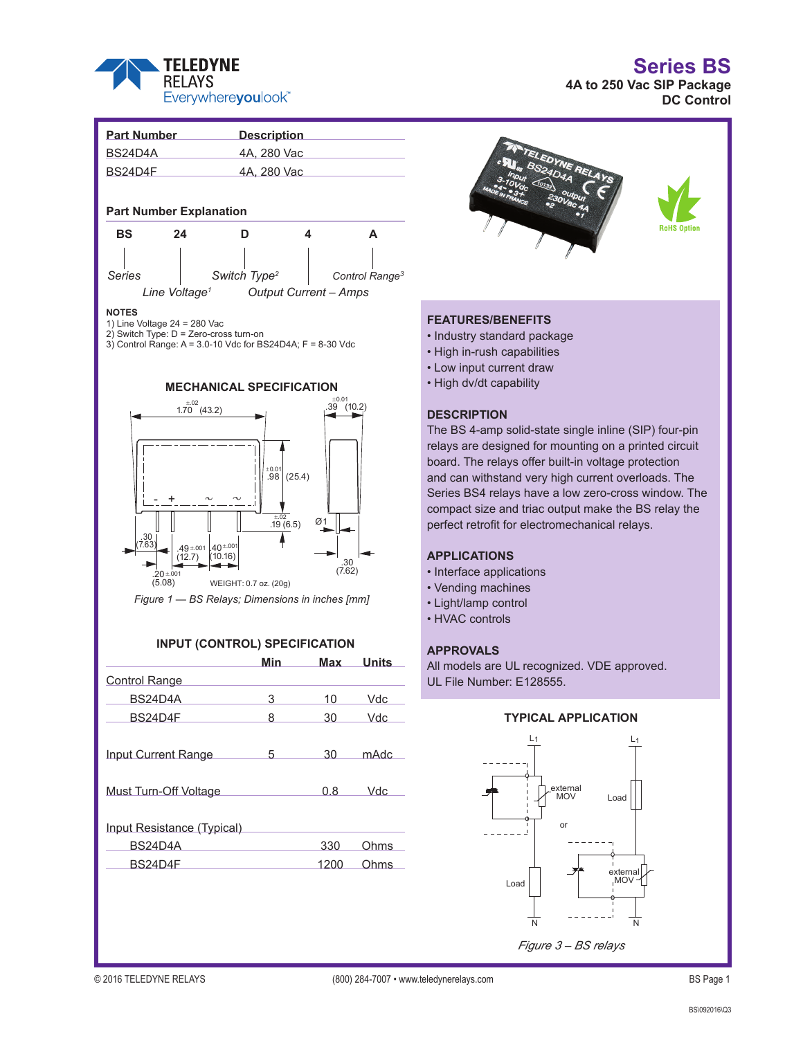

**Series BS**

**4A to 250 Vac SIP Package DC Control**





## **FEATURES/BENEFITS**

- Industry standard package
- High in-rush capabilities
- Low input current draw
- High dv/dt capability

## **DESCRIPTION**

The BS 4-amp solid-state single inline (SIP) four-pin relays are designed for mounting on a printed circuit board. The relays offer built-in voltage protection and can withstand very high current overloads. The Series BS4 relays have a low zero-cross window. The compact size and triac output make the BS relay the perfect retrofit for electromechanical relays.

## **APPLICATIONS**

- Interface applications
- Vending machines
- Light/lamp control
- HVAC controls

## **APPROVALS**

All models are UL recognized. VDE approved. UL File Number: E128555.

## **TYPICAL APPLICATION**



*Figure 3 – BS relays*